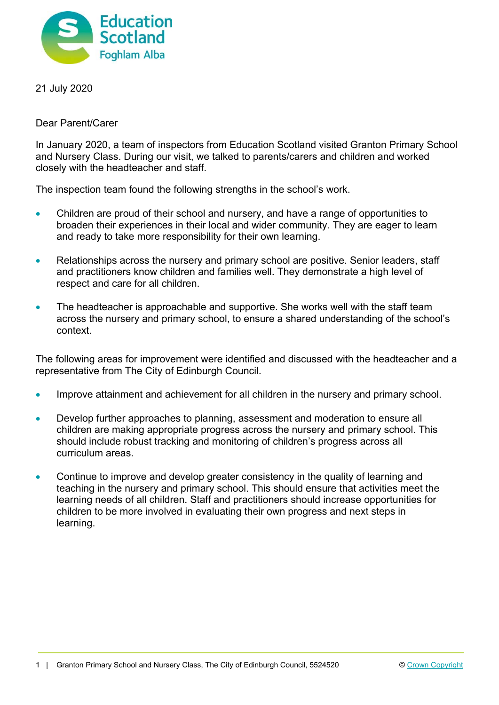

21 July 2020

Dear Parent/Carer

In January 2020, a team of inspectors from Education Scotland visited Granton Primary School and Nursery Class. During our visit, we talked to parents/carers and children and worked closely with the headteacher and staff.

The inspection team found the following strengths in the school's work.

- Children are proud of their school and nursery, and have a range of opportunities to broaden their experiences in their local and wider community. They are eager to learn and ready to take more responsibility for their own learning.
- Relationships across the nursery and primary school are positive. Senior leaders, staff and practitioners know children and families well. They demonstrate a high level of respect and care for all children.
- The headteacher is approachable and supportive. She works well with the staff team across the nursery and primary school, to ensure a shared understanding of the school's context.

The following areas for improvement were identified and discussed with the headteacher and a representative from The City of Edinburgh Council.

- Improve attainment and achievement for all children in the nursery and primary school.
- Develop further approaches to planning, assessment and moderation to ensure all children are making appropriate progress across the nursery and primary school. This should include robust tracking and monitoring of children's progress across all curriculum areas.
- Continue to improve and develop greater consistency in the quality of learning and teaching in the nursery and primary school. This should ensure that activities meet the learning needs of all children. Staff and practitioners should increase opportunities for children to be more involved in evaluating their own progress and next steps in learning.